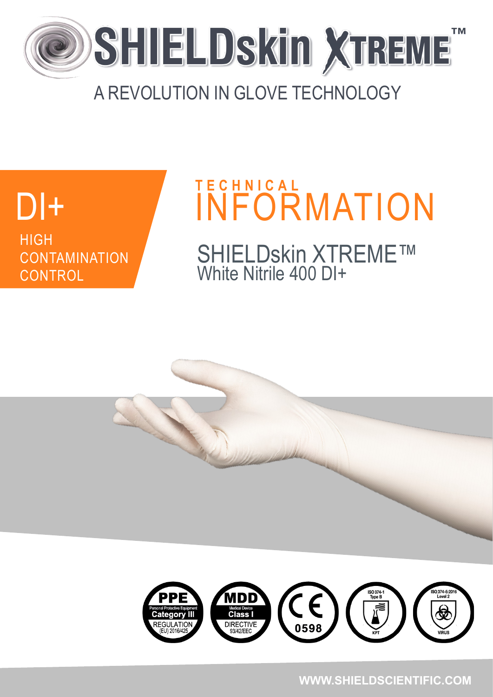

### A REVOLUTION IN GLOVE TECHNOLOGY

# **DI++** HIGH **CONTAMINATION CONTROL**

# DI+ INFORMATION SHIELDskin XTREME™ White Nitrile 400 DI+ **T E C H N I C A L**

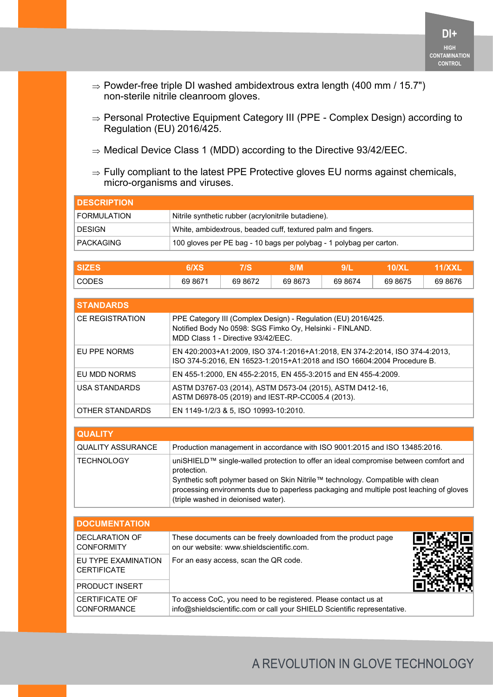- $\Rightarrow$  Powder-free triple DI washed ambidextrous extra length (400 mm / 15.7") non-sterile nitrile cleanroom gloves.
- $\Rightarrow$  Personal Protective Equipment Category III (PPE Complex Design) according to Regulation (EU) 2016/425.
- $\Rightarrow$  Medical Device Class 1 (MDD) according to the Directive 93/42/EEC.
- $\Rightarrow$  Fully compliant to the latest PPE Protective gloves EU norms against chemicals, micro-organisms and viruses.

| <b>IDESCRIPTION</b> |                                                                     |
|---------------------|---------------------------------------------------------------------|
| FORMULATION         | Nitrile synthetic rubber (acrylonitrile butadiene).                 |
| <b>DESIGN</b>       | White, ambidextrous, beaded cuff, textured palm and fingers.        |
| PACKAGING           | 100 gloves per PE bag - 10 bags per polybag - 1 polybag per carton. |

| <b>SZE.</b>  |         |         | 3/M     |         |         |         |
|--------------|---------|---------|---------|---------|---------|---------|
| <b>CODES</b> | 69 8671 | 69 8672 | 69 8673 | 69 8674 | 69 8675 | 69 8676 |

| <b>STANDARDS</b>       |                                                                                                                                                                 |  |  |  |  |
|------------------------|-----------------------------------------------------------------------------------------------------------------------------------------------------------------|--|--|--|--|
| <b>CE REGISTRATION</b> | PPE Category III (Complex Design) - Regulation (EU) 2016/425.<br>Notified Body No 0598: SGS Fimko Oy, Helsinki - FINLAND.<br>MDD Class 1 - Directive 93/42/FFC. |  |  |  |  |
| EU PPE NORMS           | EN 420:2003+A1:2009, ISO 374-1:2016+A1:2018, EN 374-2:2014, ISO 374-4:2013,<br>ISO 374-5:2016, EN 16523-1:2015+A1:2018 and ISO 16604:2004 Procedure B.          |  |  |  |  |
| EU MDD NORMS           | EN 455-1:2000, EN 455-2:2015, EN 455-3:2015 and EN 455-4:2009.                                                                                                  |  |  |  |  |
| USA STANDARDS          | ASTM D3767-03 (2014), ASTM D573-04 (2015), ASTM D412-16,<br>ASTM D6978-05 (2019) and IEST-RP-CC005.4 (2013).                                                    |  |  |  |  |
| OTHER STANDARDS        | EN 1149-1/2/3 & 5, ISO 10993-10:2010.                                                                                                                           |  |  |  |  |

| <b>QUALITY</b>           |                                                                                                                                                                                                                                                                                                                          |
|--------------------------|--------------------------------------------------------------------------------------------------------------------------------------------------------------------------------------------------------------------------------------------------------------------------------------------------------------------------|
| <b>QUALITY ASSURANCE</b> | Production management in accordance with ISO 9001:2015 and ISO 13485:2016.                                                                                                                                                                                                                                               |
| <b>TECHNOLOGY</b>        | uniSHIELD™ single-walled protection to offer an ideal compromise between comfort and<br>protection.<br>Synthetic soft polymer based on Skin Nitrile™ technology. Compatible with clean<br>processing environments due to paperless packaging and multiple post leaching of gloves<br>(triple washed in deionised water). |

| <b>DOCUMENTATION</b>                        |                                                                                                                                            |  |
|---------------------------------------------|--------------------------------------------------------------------------------------------------------------------------------------------|--|
| DECLARATION OF<br><b>CONFORMITY</b>         | These documents can be freely downloaded from the product page<br>on our website: www.shieldscientific.com.                                |  |
| EU TYPE EXAMINATION<br><b>CERTIFICATE</b>   | For an easy access, scan the QR code.                                                                                                      |  |
| <b>PRODUCT INSERT</b>                       |                                                                                                                                            |  |
| <b>CERTIFICATE OF</b><br><b>CONFORMANCE</b> | To access CoC, you need to be registered. Please contact us at<br>info@shieldscientific.com or call your SHIELD Scientific representative. |  |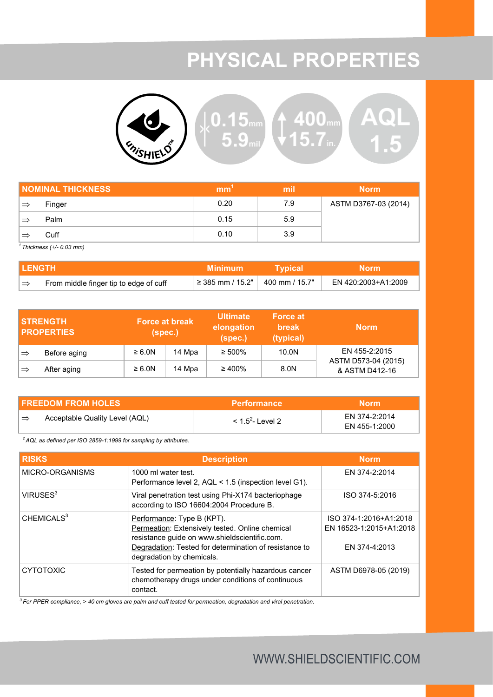# **PHYSICAL PROPERTIES**



| <b>NOMINAL THICKNESS</b> | mm   | mil | <b>Norm</b>          |
|--------------------------|------|-----|----------------------|
| Finger                   | 0.20 | 7.9 | ASTM D3767-03 (2014) |
| Palm                     | 0.15 | 5.9 |                      |
| Cuff                     | 0.10 | 3.9 |                      |

*<sup>1</sup>Thickness (+/- 0.03 mm)*

| I LENGTH      |                                        | Minimum                                         | <b>Typical</b> | <b>Norm</b>         |
|---------------|----------------------------------------|-------------------------------------------------|----------------|---------------------|
| $\Rightarrow$ | From middle finger tip to edge of cuff | $\frac{1}{2}$ ≥ 385 mm / 15.2"   400 mm / 15.7" |                | EN 420:2003+A1:2009 |

|               | <b>STRENGTH</b><br><b>PROPERTIES</b> | (spec.)     | <b>Force at break</b> | <b>Ultimate</b><br>elongation<br>(spec.) | <b>Force at</b><br><b>break</b><br>(typical) | <b>Norm</b>                           |
|---------------|--------------------------------------|-------------|-----------------------|------------------------------------------|----------------------------------------------|---------------------------------------|
| $\Rightarrow$ | Before aging                         | $\geq 6.0N$ | 14 Mpa                | $\geq 500\%$                             | 10.0N                                        | EN 455-2:2015                         |
| $\Rightarrow$ | After aging                          | $\geq 6.0N$ | 14 Mpa                | $\geq 400\%$                             | 8.0N                                         | ASTM D573-04 (2015)<br>& ASTM D412-16 |

| <b>FREEDOM FROM HOLES</b> |                                | <b>Performance</b>     | Morm'         |
|---------------------------|--------------------------------|------------------------|---------------|
| `⇒                        | Acceptable Quality Level (AQL) | $<$ 1.5 $^2$ - Level 2 | FN 374-2:2014 |
|                           |                                |                        | EN 455-1:2000 |

*<sup>2</sup>AQL as defined per ISO 2859-1:1999 for sampling by attributes.*

| <b>RISKS</b>           | <b>Description</b>                                                                                                                                                                                                    | <b>Norm</b>                                                        |
|------------------------|-----------------------------------------------------------------------------------------------------------------------------------------------------------------------------------------------------------------------|--------------------------------------------------------------------|
| MICRO-ORGANISMS        | 1000 ml water test.<br>Performance level 2, AQL < 1.5 (inspection level G1).                                                                                                                                          | EN 374-2:2014                                                      |
| VIRUSES <sup>3</sup>   | Viral penetration test using Phi-X174 bacteriophage<br>according to ISO 16604:2004 Procedure B.                                                                                                                       | ISO 374-5:2016                                                     |
| CHEMICALS <sup>3</sup> | Performance: Type B (KPT).<br>Permeation: Extensively tested. Online chemical<br>resistance guide on www.shieldscientific.com.<br>Degradation: Tested for determination of resistance to<br>degradation by chemicals. | ISO 374-1:2016+A1:2018<br>EN 16523-1:2015+A1:2018<br>FN 374-4:2013 |
| <b>CYTOTOXIC</b>       | Tested for permeation by potentially hazardous cancer<br>chemotherapy drugs under conditions of continuous<br>contact.                                                                                                | ASTM D6978-05 (2019)                                               |

*<sup>3</sup>For PPER compliance, > 40 cm gloves are palm and cuff tested for permeation, degradation and viral penetration.*